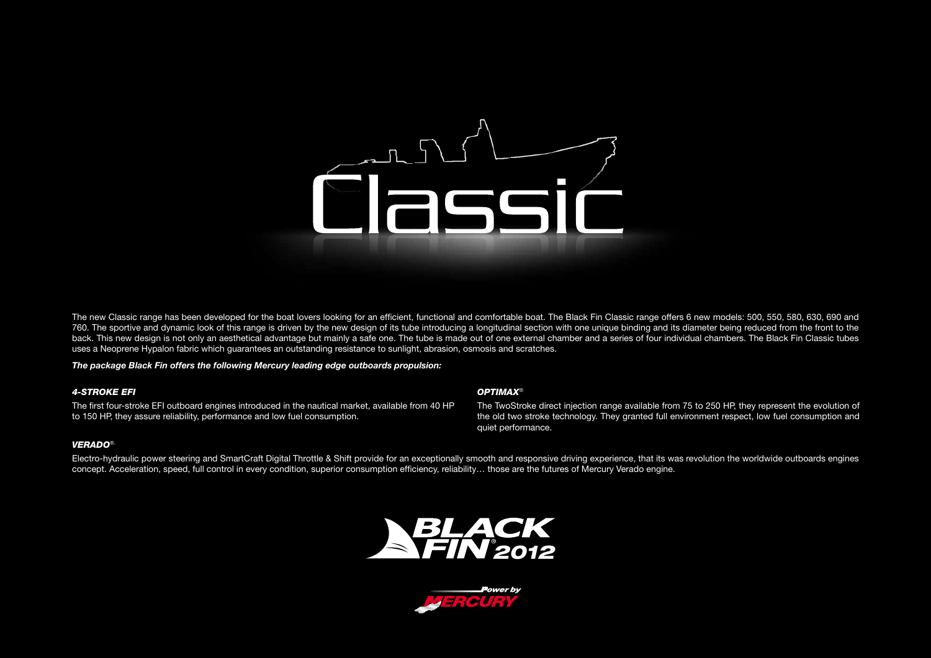# Classic

The new Classic range has been developed for the boat lovers looking for an efficient, functional and comfortable boat. The Black Fin Classic range offers 6 new models: 500, 550, 580, 630, 690 and 760. The sportive and dynamic look of this range is driven by the new design of its tube introducing a longitudinal section with one unique binding and its diameter being reduced from the front to the back. This new design is not only an aesthetical advantage but mainly a safe one. The tube is made out of one external chamber and a series of four individual chambers. The Black Fin Classic tubes uses a Neoprene Hypalon fabric which guarantees an outstanding resistance to sunlight, abrasion, osmosis and scratches.

### *The package Black Fin offers the following Mercury leading edge outboards propulsion:*

### *4-stroke EFI*

The first four-stroke EFI outboard engines introduced in the nautical market, available from 40 HP to 150 HP, they assure reliability, performance and low fuel consumption.

### *Optimax*®

The TwoStroke direct injection range available from 75 to 250 HP, they represent the evolution of the old two stroke technology. They granted full environment respect, low fuel consumption and quiet performance.

## *VERADO*®.

Electro-hydraulic power steering and SmartCraft Digital Throttle & Shift provide for an exceptionally smooth and responsive driving experience, that its was revolution the worldwide outboards engines concept. Acceleration, speed, full control in every condition, superior consumption efficiency, reliability… those are the futures of Mercury Verado engine.